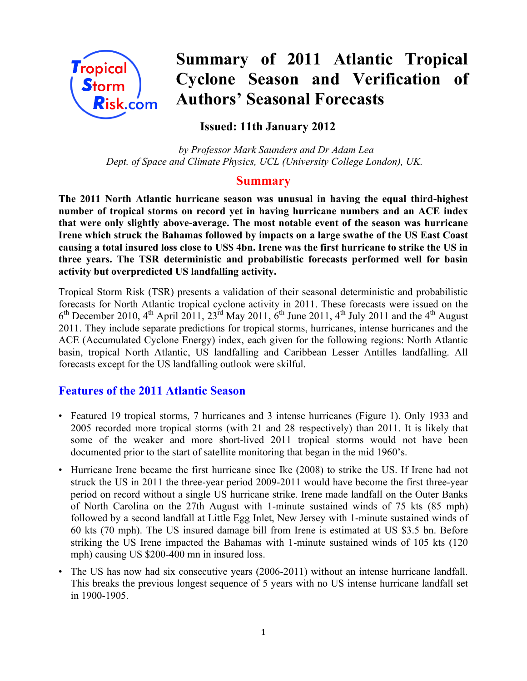

# **Summary of 2011 Atlantic Tropical Cyclone Season and Verification of Authors' Seasonal Forecasts**

# **Issued: 11th January 2012**

*by Professor Mark Saunders and Dr Adam Lea Dept. of Space and Climate Physics, UCL (University College London), UK.*

# **Summary**

**The 2011 North Atlantic hurricane season was unusual in having the equal third-highest number of tropical storms on record yet in having hurricane numbers and an ACE index that were only slightly above-average. The most notable event of the season was hurricane Irene which struck the Bahamas followed by impacts on a large swathe of the US East Coast causing a total insured loss close to US\$ 4bn. Irene was the first hurricane to strike the US in three years. The TSR deterministic and probabilistic forecasts performed well for basin activity but overpredicted US landfalling activity.**

Tropical Storm Risk (TSR) presents a validation of their seasonal deterministic and probabilistic forecasts for North Atlantic tropical cyclone activity in 2011. These forecasts were issued on the  $6<sup>th</sup>$  December 2010, 4<sup>th</sup> April 2011, 23<sup>rd</sup> May 2011, 6<sup>th</sup> June 2011, 4<sup>th</sup> July 2011 and the 4<sup>th</sup> August 2011. They include separate predictions for tropical storms, hurricanes, intense hurricanes and the ACE (Accumulated Cyclone Energy) index, each given for the following regions: North Atlantic basin, tropical North Atlantic, US landfalling and Caribbean Lesser Antilles landfalling. All forecasts except for the US landfalling outlook were skilful.

# **Features of the 2011 Atlantic Season**

- Featured 19 tropical storms, 7 hurricanes and 3 intense hurricanes (Figure 1). Only 1933 and 2005 recorded more tropical storms (with 21 and 28 respectively) than 2011. It is likely that some of the weaker and more short-lived 2011 tropical storms would not have been documented prior to the start of satellite monitoring that began in the mid 1960's.
- Hurricane Irene became the first hurricane since Ike (2008) to strike the US. If Irene had not struck the US in 2011 the three-year period 2009-2011 would have become the first three-year period on record without a single US hurricane strike. Irene made landfall on the Outer Banks of North Carolina on the 27th August with 1-minute sustained winds of 75 kts (85 mph) followed by a second landfall at Little Egg Inlet, New Jersey with 1-minute sustained winds of 60 kts (70 mph). The US insured damage bill from Irene is estimated at US \$3.5 bn. Before striking the US Irene impacted the Bahamas with 1-minute sustained winds of 105 kts (120 mph) causing US \$200-400 mn in insured loss.
- The US has now had six consecutive years (2006-2011) without an intense hurricane landfall. This breaks the previous longest sequence of 5 years with no US intense hurricane landfall set in 1900-1905.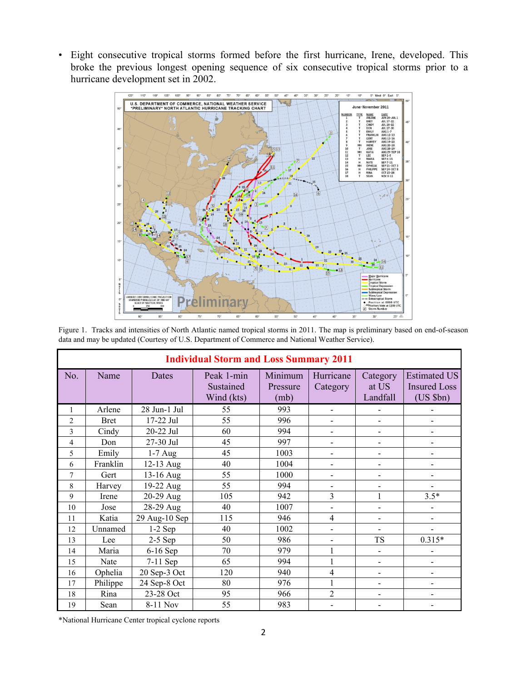• Eight consecutive tropical storms formed before the first hurricane, Irene, developed. This broke the previous longest opening sequence of six consecutive tropical storms prior to a hurricane development set in 2002.



Figure 1. Tracks and intensities of North Atlantic named tropical storms in 2011. The map is preliminary based on end-of-season data and may be updated (Courtesy of U.S. Department of Commerce and National Weather Service).

|                | <b>Individual Storm and Loss Summary 2011</b> |               |                                       |                             |                          |                               |                                                            |  |
|----------------|-----------------------------------------------|---------------|---------------------------------------|-----------------------------|--------------------------|-------------------------------|------------------------------------------------------------|--|
| No.            | Name                                          | Dates         | Peak 1-min<br>Sustained<br>Wind (kts) | Minimum<br>Pressure<br>(mb) | Hurricane<br>Category    | Category<br>at US<br>Landfall | <b>Estimated US</b><br><b>Insured Loss</b><br>$(US$ $$bn)$ |  |
| 1              | Arlene                                        | 28 Jun-1 Jul  | 55                                    | 993                         | $\mathbf{r}$             |                               |                                                            |  |
| $\overline{2}$ | <b>Bret</b>                                   | 17-22 Jul     | 55                                    | 996                         | $\overline{\phantom{a}}$ |                               |                                                            |  |
| 3              | Cindy                                         | 20-22 Jul     | 60                                    | 994                         | $\blacksquare$           | $\overline{a}$                | $\blacksquare$                                             |  |
| 4              | Don                                           | 27-30 Jul     | 45                                    | 997                         |                          |                               |                                                            |  |
| 5              | Emily                                         | $1-7$ Aug     | 45                                    | 1003                        |                          |                               |                                                            |  |
| 6              | Franklin                                      | 12-13 Aug     | 40                                    | 1004                        | $\blacksquare$           |                               |                                                            |  |
| 7              | Gert                                          | 13-16 Aug     | 55                                    | 1000                        | $\overline{\phantom{0}}$ |                               |                                                            |  |
| 8              | Harvey                                        | 19-22 Aug     | 55                                    | 994                         |                          |                               |                                                            |  |
| 9              | Irene                                         | 20-29 Aug     | 105                                   | 942                         | 3                        | 1                             | $3.5*$                                                     |  |
| 10             | Jose                                          | 28-29 Aug     | 40                                    | 1007                        |                          |                               |                                                            |  |
| 11             | Katia                                         | 29 Aug-10 Sep | 115                                   | 946                         | $\overline{4}$           |                               |                                                            |  |
| 12             | Unnamed                                       | $1-2$ Sep     | 40                                    | 1002                        | $\blacksquare$           |                               |                                                            |  |
| 13             | Lee                                           | $2-5$ Sep     | 50                                    | 986                         | $\overline{\phantom{a}}$ | <b>TS</b>                     | $0.315*$                                                   |  |
| 14             | Maria                                         | $6-16$ Sep    | 70                                    | 979                         |                          | $\overline{a}$                |                                                            |  |
| 15             | Nate                                          | 7-11 Sep      | 65                                    | 994                         |                          | -                             |                                                            |  |
| 16             | Ophelia                                       | 20 Sep-3 Oct  | 120                                   | 940                         | $\overline{4}$           | $\overline{a}$                | $\overline{\phantom{0}}$                                   |  |
| 17             | Philippe                                      | 24 Sep-8 Oct  | 80                                    | 976                         | 1                        |                               |                                                            |  |
| 18             | Rina                                          | 23-28 Oct     | 95                                    | 966                         | $\overline{2}$           | $\overline{a}$                |                                                            |  |
| 19             | Sean                                          | 8-11 Nov      | 55                                    | 983                         |                          |                               |                                                            |  |

\*National Hurricane Center tropical cyclone reports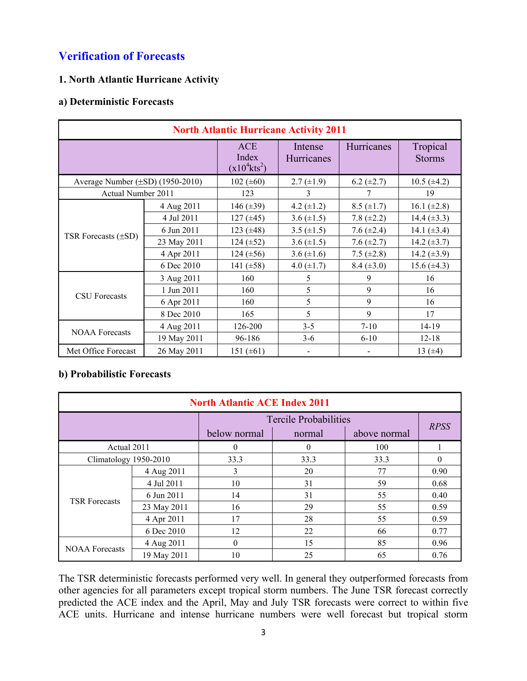# **Verification of Forecasts**

# **1. North Atlantic Hurricane Activity**

### **a) Deterministic Forecasts**

| <b>North Atlantic Hurricane Activity 2011</b> |             |                                                    |                       |                   |                           |  |  |
|-----------------------------------------------|-------------|----------------------------------------------------|-----------------------|-------------------|---------------------------|--|--|
|                                               |             | <b>ACE</b><br>Index<br>$(x10^4$ kts <sup>2</sup> ) | Intense<br>Hurricanes | <b>Hurricanes</b> | Tropical<br><b>Storms</b> |  |  |
| Average Number $(\pm SD)$ (1950-2010)         |             | 102 $(\pm 60)$                                     | $2.7 \ (\pm 1.9)$     | $6.2 (\pm 2.7)$   | $10.5 (\pm 4.2)$          |  |  |
| Actual Number 2011                            |             | 123                                                | 3                     |                   | 19                        |  |  |
|                                               | 4 Aug 2011  | 146 $(\pm 39)$                                     | 4.2 $(\pm 1.2)$       | $8.5 (\pm 1.7)$   | 16.1 $(\pm 2.8)$          |  |  |
|                                               | 4 Jul 2011  | $127 (\pm 45)$                                     | 3.6 $(\pm 1.5)$       | 7.8 $(\pm 2.2)$   | 14.4 $(\pm 3.3)$          |  |  |
|                                               | 6 Jun 2011  | 123 $(\pm 48)$                                     | 3.5 $(\pm 1.5)$       | 7.6 $(\pm 2.4)$   | 14.1 $(\pm 3.4)$          |  |  |
| TSR Forecasts $(\pm SD)$                      | 23 May 2011 | 124 $(\pm 52)$                                     | 3.6 $(\pm 1.5)$       | 7.6 $(\pm 2.7)$   | 14.2 $(\pm 3.7)$          |  |  |
|                                               | 4 Apr 2011  | $124 (\pm 56)$                                     | 3.6 $(\pm 1.6)$       | 7.5 $(\pm 2.8)$   | 14.2 $(\pm 3.9)$          |  |  |
|                                               | 6 Dec 2010  | 141 $(\pm 58)$                                     | 4.0 $(\pm 1.7)$       | $8.4 (\pm 3.0)$   | 15.6 $(\pm 4.3)$          |  |  |
|                                               | 3 Aug 2011  | 160                                                | 5                     | 9                 | 16                        |  |  |
| <b>CSU</b> Forecasts                          | 1 Jun 2011  | 160                                                | 5                     | 9                 | 16                        |  |  |
|                                               | 6 Apr 2011  | 160                                                | 5                     | 9                 | 16                        |  |  |
|                                               | 8 Dec 2010  | 165                                                | 5                     | 9                 | 17                        |  |  |
|                                               | 4 Aug 2011  | 126-200                                            | $3 - 5$               | $7-10$            | 14-19                     |  |  |
| <b>NOAA</b> Forecasts                         | 19 May 2011 | 96-186                                             | $3-6$                 | $6 - 10$          | $12 - 18$                 |  |  |
| Met Office Forecast                           | 26 May 2011 | 151 $(\pm 61)$                                     |                       |                   | 13 $(±4)$                 |  |  |

# **b) Probabilistic Forecasts**

| <b>North Atlantic ACE Index 2011</b> |             |                |                              |              |             |  |
|--------------------------------------|-------------|----------------|------------------------------|--------------|-------------|--|
|                                      |             |                | <b>Tercile Probabilities</b> |              |             |  |
|                                      |             | below normal   | normal                       | above normal | <b>RPSS</b> |  |
| Actual 2011                          |             | $\Omega$       | $\theta$                     | 100          |             |  |
| Climatology 1950-2010                |             | 33.3           | 33.3                         | 33.3         | $\theta$    |  |
|                                      | 4 Aug 2011  | 3              | 20                           | 77           | 0.90        |  |
|                                      | 4 Jul 2011  | 10             | 31                           | 59           | 0.68        |  |
| <b>TSR Forecasts</b>                 | 6 Jun 2011  | 14             | 31                           | 55           | 0.40        |  |
|                                      | 23 May 2011 | 16             | 29                           | 55           | 0.59        |  |
|                                      | 4 Apr 2011  | 17             | 28                           | 55           | 0.59        |  |
|                                      | 6 Dec 2010  | 12             | 22                           | 66           | 0.77        |  |
| <b>NOAA</b> Forecasts                | 4 Aug 2011  | $\overline{0}$ | 15                           | 85           | 0.96        |  |
|                                      | 19 May 2011 | 10             | 25                           | 65           | 0.76        |  |

The TSR deterministic forecasts performed very well. In general they outperformed forecasts from other agencies for all parameters except tropical storm numbers. The June TSR forecast correctly predicted the ACE index and the April, May and July TSR forecasts were correct to within five ACE units. Hurricane and intense hurricane numbers were well forecast but tropical storm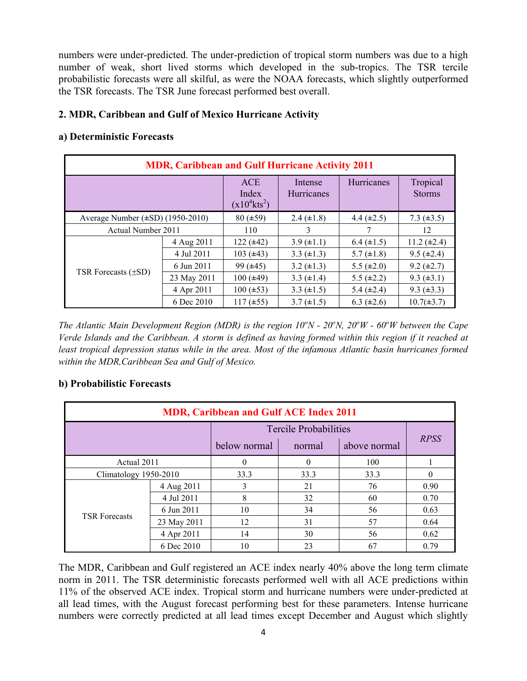numbers were under-predicted. The under-prediction of tropical storm numbers was due to a high number of weak, short lived storms which developed in the sub-tropics. The TSR tercile probabilistic forecasts were all skilful, as were the NOAA forecasts, which slightly outperformed the TSR forecasts. The TSR June forecast performed best overall.

## **2. MDR, Caribbean and Gulf of Mexico Hurricane Activity**

# **a) Deterministic Forecasts**

| <b>MDR, Caribbean and Gulf Hurricane Activity 2011</b> |             |                                                    |                              |                   |                           |  |  |
|--------------------------------------------------------|-------------|----------------------------------------------------|------------------------------|-------------------|---------------------------|--|--|
|                                                        |             | <b>ACE</b><br>Index<br>$(x10^4$ kts <sup>2</sup> ) | Intense<br><b>Hurricanes</b> | <b>Hurricanes</b> | Tropical<br><b>Storms</b> |  |  |
| Average Number $(\pm SD)$ (1950-2010)                  |             | $80 (\pm 59)$                                      | $2.4 \ (\pm 1.8)$            | 4.4 $(\pm 2.5)$   | 7.3 $(\pm 3.5)$           |  |  |
| Actual Number 2011                                     |             | 110                                                | 3                            | 7                 | 12                        |  |  |
|                                                        | 4 Aug 2011  | $122 (\pm 42)$                                     | $3.9 \ (\pm 1.1)$            | $6.4 (\pm 1.5)$   | $11.2 (\pm 2.4)$          |  |  |
|                                                        | 4 Jul 2011  | $103 (\pm 43)$                                     | 3.3 $(\pm 1.3)$              | $5.7 (\pm 1.8)$   | $9.5 (\pm 2.4)$           |  |  |
|                                                        | 6 Jun 2011  | $99 (\pm 45)$                                      | 3.2 $(\pm 1.3)$              | 5.5 $(\pm 2.0)$   | $9.2 (\pm 2.7)$           |  |  |
| TSR Forecasts $(\pm SD)$                               | 23 May 2011 | $100 (\pm 49)$                                     | 3.3 $(\pm 1.4)$              | 5.5 $(\pm 2.2)$   | $9.3 (\pm 3.1)$           |  |  |
|                                                        | 4 Apr 2011  | $100 (\pm 53)$                                     | 3.3 $(\pm 1.5)$              | 5.4 $(\pm 2.4)$   | $9.3 (\pm 3.3)$           |  |  |
|                                                        | 6 Dec 2010  | $117 (\pm 55)$                                     | $3.7 (\pm 1.5)$              | $6.3 (\pm 2.6)$   | $10.7(\pm 3.7)$           |  |  |

*The Atlantic Main Development Region (MDR) is the region 10<sup>o</sup>N - 20<sup>o</sup>N, 20<sup>o</sup>W - 60<sup>o</sup>W between the Cape Verde Islands and the Caribbean. A storm is defined as having formed within this region if it reached at*  least tropical depression status while in the area. Most of the infamous Atlantic basin hurricanes formed *within the MDR,Caribbean Sea and Gulf of Mexico.*

## **b) Probabilistic Forecasts**

| <b>MDR, Caribbean and Gulf ACE Index 2011</b> |             |                              |          |              |             |  |  |
|-----------------------------------------------|-------------|------------------------------|----------|--------------|-------------|--|--|
|                                               |             | <b>Tercile Probabilities</b> |          |              |             |  |  |
|                                               |             | below normal                 | normal   | above normal | <b>RPSS</b> |  |  |
| Actual 2011                                   |             | $\Omega$                     | $\theta$ | 100          |             |  |  |
| Climatology 1950-2010                         |             | 33.3                         | 33.3     | 33.3         | 0           |  |  |
|                                               | 4 Aug 2011  | 3                            | 21       | 76           | 0.90        |  |  |
|                                               | 4 Jul 2011  | 8                            | 32       | 60           | 0.70        |  |  |
| <b>TSR Forecasts</b>                          | 6 Jun 2011  | 10                           | 34       | 56           | 0.63        |  |  |
|                                               | 23 May 2011 | 12                           | 31       | 57           | 0.64        |  |  |
|                                               | 4 Apr 2011  | 14                           | 30       | 56           | 0.62        |  |  |
|                                               | 6 Dec 2010  | 10                           | 23       | -67          | 0.79        |  |  |

The MDR, Caribbean and Gulf registered an ACE index nearly 40% above the long term climate norm in 2011. The TSR deterministic forecasts performed well with all ACE predictions within 11% of the observed ACE index. Tropical storm and hurricane numbers were under-predicted at all lead times, with the August forecast performing best for these parameters. Intense hurricane numbers were correctly predicted at all lead times except December and August which slightly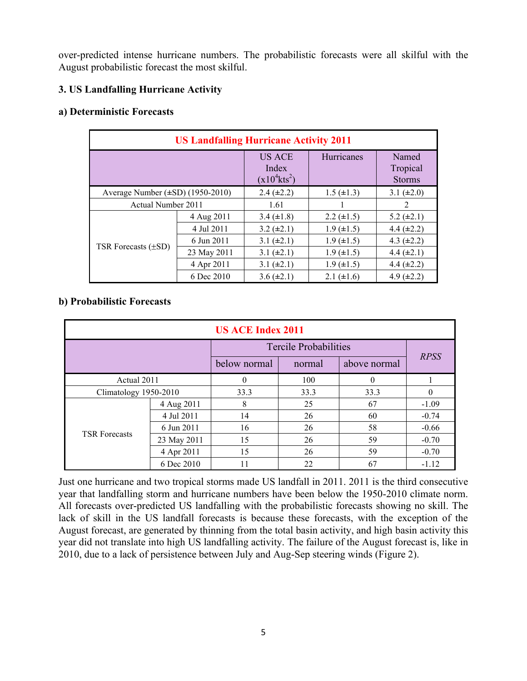over-predicted intense hurricane numbers. The probabilistic forecasts were all skilful with the August probabilistic forecast the most skilful.

# **3. US Landfalling Hurricane Activity**

#### **a) Deterministic Forecasts**

| <b>US Landfalling Hurricane Activity 2011</b> |             |                                                       |                   |                                    |  |  |
|-----------------------------------------------|-------------|-------------------------------------------------------|-------------------|------------------------------------|--|--|
|                                               |             | <b>US ACE</b><br>Index<br>$(x10^4$ kts <sup>2</sup> ) | <b>Hurricanes</b> | Named<br>Tropical<br><b>Storms</b> |  |  |
| Average Number $(\pm SD)$ (1950-2010)         |             | $2.4 (\pm 2.2)$                                       | $1.5 (\pm 1.3)$   | 3.1 $(\pm 2.0)$                    |  |  |
| Actual Number 2011                            |             | 1.61                                                  |                   | 2                                  |  |  |
|                                               | 4 Aug 2011  | 3.4 $(\pm 1.8)$                                       | $2.2 \ (\pm 1.5)$ | $5.2 (\pm 2.1)$                    |  |  |
|                                               | 4 Jul 2011  | $3.2 (\pm 2.1)$                                       | $1.9 \ (\pm 1.5)$ | 4.4 $(\pm 2.2)$                    |  |  |
| TSR Forecasts $(\pm SD)$                      | 6 Jun 2011  | 3.1 $(\pm 2.1)$                                       | $1.9 \ (\pm 1.5)$ | 4.3 $(\pm 2.2)$                    |  |  |
|                                               | 23 May 2011 | 3.1 $(\pm 2.1)$                                       | $1.9 \ (\pm 1.5)$ | $4.4 (\pm 2.1)$                    |  |  |
|                                               | 4 Apr 2011  | 3.1 $(\pm 2.1)$                                       | $1.9 \ (\pm 1.5)$ | 4.4 $(\pm 2.2)$                    |  |  |
|                                               | 6 Dec 2010  | $3.6 (\pm 2.1)$                                       | 2.1 $(\pm 1.6)$   | 4.9 $(\pm 2.2)$                    |  |  |

## **b) Probabilistic Forecasts**

| <b>US ACE Index 2011</b> |             |              |                              |              |             |  |
|--------------------------|-------------|--------------|------------------------------|--------------|-------------|--|
|                          |             |              | <b>Tercile Probabilities</b> |              |             |  |
|                          |             | below normal | normal                       | above normal | <b>RPSS</b> |  |
| Actual 2011              |             | $\Omega$     | 100                          | $\Omega$     |             |  |
| Climatology 1950-2010    |             | 33.3         | 33.3                         | 33.3         | $\Omega$    |  |
| <b>TSR Forecasts</b>     | 4 Aug 2011  | 8            | 25                           | 67           | $-1.09$     |  |
|                          | 4 Jul 2011  | 14           | 26                           | 60           | $-0.74$     |  |
|                          | 6 Jun 2011  | 16           | 26                           | 58           | $-0.66$     |  |
|                          | 23 May 2011 | 15           | 26                           | 59           | $-0.70$     |  |
|                          | 4 Apr 2011  | 15           | 26                           | 59           | $-0.70$     |  |
|                          | 6 Dec 2010  | 11           | 22                           | 67           | $-1.12$     |  |

Just one hurricane and two tropical storms made US landfall in 2011. 2011 is the third consecutive year that landfalling storm and hurricane numbers have been below the 1950-2010 climate norm. All forecasts over-predicted US landfalling with the probabilistic forecasts showing no skill. The lack of skill in the US landfall forecasts is because these forecasts, with the exception of the August forecast, are generated by thinning from the total basin activity, and high basin activity this year did not translate into high US landfalling activity. The failure of the August forecast is, like in 2010, due to a lack of persistence between July and Aug-Sep steering winds (Figure 2).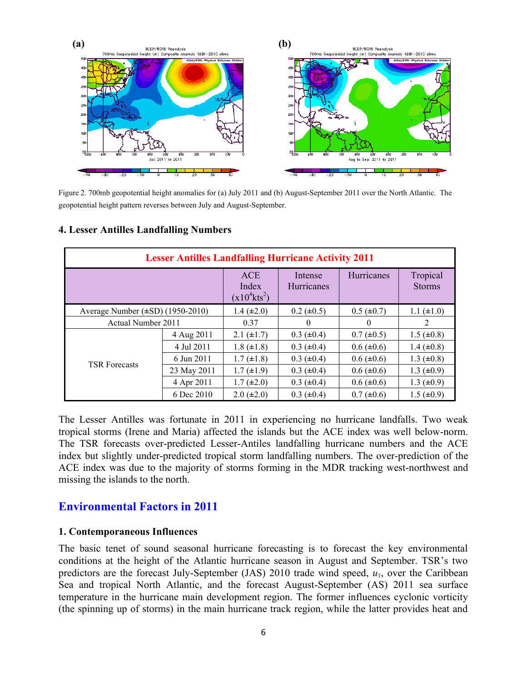

Figure 2. 700mb geopotential height anomalies for (a) July 2011 and (b) August-September 2011 over the North Atlantic. The geopotential height pattern reverses between July and August-September.

| <b>Lesser Antilles Landfalling Hurricane Activity 2011</b> |                                                    |                              |                   |                           |                   |  |
|------------------------------------------------------------|----------------------------------------------------|------------------------------|-------------------|---------------------------|-------------------|--|
|                                                            | <b>ACE</b><br>Index<br>$(x10^4$ kts <sup>2</sup> ) | Intense<br><b>Hurricanes</b> | <b>Hurricanes</b> | Tropical<br><b>Storms</b> |                   |  |
| Average Number $(\pm SD)$ (1950-2010)                      |                                                    | $1.4 (\pm 2.0)$              | $0.2 \ (\pm 0.5)$ | $0.5 (\pm 0.7)$           | $1.1 (\pm 1.0)$   |  |
| Actual Number 2011                                         |                                                    | 0.37                         | $\theta$          | 0                         | 2                 |  |
|                                                            | 4 Aug 2011                                         | $2.1 (\pm 1.7)$              | $0.3 (\pm 0.4)$   | $0.7 (\pm 0.5)$           | $1.5 (\pm 0.8)$   |  |
|                                                            | 4 Jul 2011                                         | $1.8 (\pm 1.8)$              | $0.3 (\pm 0.4)$   | $0.6 (\pm 0.6)$           | $1.4 (\pm 0.8)$   |  |
| <b>TSR Forecasts</b>                                       | 6 Jun 2011                                         | $1.7 (\pm 1.8)$              | $0.3 (\pm 0.4)$   | $0.6 (\pm 0.6)$           | $1.3 \ (\pm 0.8)$ |  |
|                                                            | 23 May 2011                                        | $1.7 (\pm 1.9)$              | $0.3 (\pm 0.4)$   | $0.6 (\pm 0.6)$           | $1.3 \ (\pm 0.9)$ |  |
|                                                            | 4 Apr 2011                                         | $1.7 (\pm 2.0)$              | $0.3 (\pm 0.4)$   | $0.6 (\pm 0.6)$           | $1.3 \ (\pm 0.9)$ |  |
|                                                            | 6 Dec 2010                                         | $2.0 (\pm 2.0)$              | $0.3 (\pm 0.4)$   | $0.7 (\pm 0.6)$           | $1.5 (\pm 0.9)$   |  |

#### **4. Lesser Antilles Landfalling Numbers**

The Lesser Antilles was fortunate in 2011 in experiencing no hurricane landfalls. Two weak tropical storms (Irene and Maria) affected the islands but the ACE index was well below-norm. The TSR forecasts over-predicted Lesser-Antiles landfalling hurricane numbers and the ACE index but slightly under-predicted tropical storm landfalling numbers. The over-prediction of the ACE index was due to the majority of storms forming in the MDR tracking west-northwest and missing the islands to the north.

# **Environmental Factors in 2011**

#### **1. Contemporaneous Influences**

The basic tenet of sound seasonal hurricane forecasting is to forecast the key environmental conditions at the height of the Atlantic hurricane season in August and September. TSR's two predictors are the forecast July-September (JAS) 2010 trade wind speed,  $u<sub>T</sub>$ , over the Caribbean Sea and tropical North Atlantic, and the forecast August-September (AS) 2011 sea surface temperature in the hurricane main development region. The former influences cyclonic vorticity (the spinning up of storms) in the main hurricane track region, while the latter provides heat and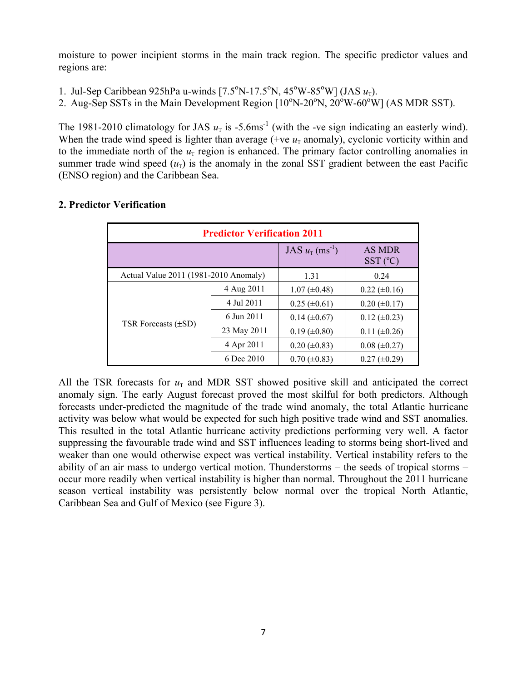moisture to power incipient storms in the main track region. The specific predictor values and regions are:

- 1. Jul-Sep Caribbean 925hPa u-winds  $[7.5^{\circ}N-17.5^{\circ}N, 45^{\circ}W-85^{\circ}W]$  (JAS  $u_{\tau}$ ).
- 2. Aug-Sep SSTs in the Main Development Region  $[10^{\circ}N-20^{\circ}N, 20^{\circ}W-60^{\circ}W]$  (AS MDR SST).

The 1981-2010 climatology for JAS  $u_T$  is -5.6ms<sup>-1</sup> (with the -ve sign indicating an easterly wind). When the trade wind speed is lighter than average (+ve  $u_T$  anomaly), cyclonic vorticity within and to the immediate north of the  $u<sub>T</sub>$  region is enhanced. The primary factor controlling anomalies in summer trade wind speed  $(u_T)$  is the anomaly in the zonal SST gradient between the east Pacific (ENSO region) and the Caribbean Sea.

| <b>Predictor Verification 2011</b>    |             |                     |                                        |  |  |
|---------------------------------------|-------------|---------------------|----------------------------------------|--|--|
|                                       |             | $JAS u_T (ms^{-1})$ | <b>AS MDR</b><br>$SST$ ( $^{\circ}C$ ) |  |  |
| Actual Value 2011 (1981-2010 Anomaly) |             | 1.31                | 0.24                                   |  |  |
|                                       | 4 Aug 2011  | $1.07 \ (\pm 0.48)$ | $0.22 \ (\pm 0.16)$                    |  |  |
|                                       | 4 Jul 2011  | $0.25 \ (\pm 0.61)$ | $0.20 \ (\pm 0.17)$                    |  |  |
|                                       | 6 Jun 2011  | $0.14 (\pm 0.67)$   | $0.12 \ (\pm 0.23)$                    |  |  |
| TSR Forecasts $(\pm SD)$              | 23 May 2011 | $0.19 \ (\pm 0.80)$ | $0.11 (\pm 0.26)$                      |  |  |
|                                       | 4 Apr 2011  | $0.20 (\pm 0.83)$   | $0.08 (\pm 0.27)$                      |  |  |
|                                       | 6 Dec 2010  | $0.70 \ (\pm 0.83)$ | $0.27 (\pm 0.29)$                      |  |  |

# **2. Predictor Verification**

All the TSR forecasts for  $u<sub>T</sub>$  and MDR SST showed positive skill and anticipated the correct anomaly sign. The early August forecast proved the most skilful for both predictors. Although forecasts under-predicted the magnitude of the trade wind anomaly, the total Atlantic hurricane activity was below what would be expected for such high positive trade wind and SST anomalies. This resulted in the total Atlantic hurricane activity predictions performing very well. A factor suppressing the favourable trade wind and SST influences leading to storms being short-lived and weaker than one would otherwise expect was vertical instability. Vertical instability refers to the ability of an air mass to undergo vertical motion. Thunderstorms – the seeds of tropical storms – occur more readily when vertical instability is higher than normal. Throughout the 2011 hurricane season vertical instability was persistently below normal over the tropical North Atlantic, Caribbean Sea and Gulf of Mexico (see Figure 3).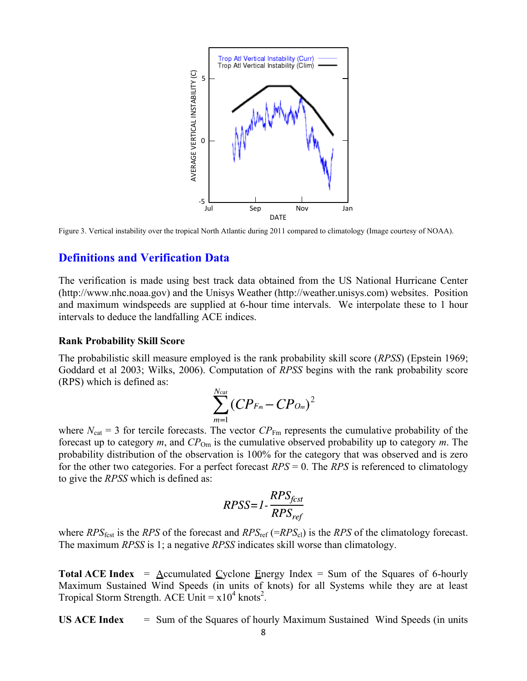

Figure 3. Vertical instability over the tropical North Atlantic during 2011 compared to climatology (Image courtesy of NOAA).

#### **Definitions and Verification Data**

The verification is made using best track data obtained from the US National Hurricane Center (http://www.nhc.noaa.gov) and the Unisys Weather (http://weather.unisys.com) websites. Position and maximum windspeeds are supplied at 6-hour time intervals. We interpolate these to 1 hour intervals to deduce the landfalling ACE indices.

#### **Rank Probability Skill Score**

The probabilistic skill measure employed is the rank probability skill score (*RPSS*) (Epstein 1969; Goddard et al 2003; Wilks, 2006). Computation of *RPSS* begins with the rank probability score (RPS) which is defined as:

$$
\sum_{m=1}^{N_{cat}} (CP_{Fm} - CP_{Om})^2
$$

where  $N_{\text{cat}} = 3$  for tercile forecasts. The vector  $CP_{\text{Fm}}$  represents the cumulative probability of the forecast up to category *m*, and *CP*Om is the cumulative observed probability up to category *m*. The probability distribution of the observation is 100% for the category that was observed and is zero for the other two categories. For a perfect forecast *RPS* = 0. The *RPS* is referenced to climatology to give the *RPSS* which is defined as:

$$
RPSS = 1 - \frac{RPS_{fest}}{RPS_{ref}}
$$

where  $RPS_{\text{fest}}$  is the  $RPS$  of the forecast and  $RPS_{\text{ref}}$  (= $RPS_{\text{cl}}$ ) is the  $RPS$  of the climatology forecast. The maximum *RPSS* is 1; a negative *RPSS* indicates skill worse than climatology.

**Total ACE Index** =  $\Delta$ ccumulated Cyclone Energy Index = Sum of the Squares of 6-hourly Maximum Sustained Wind Speeds (in units of knots) for all Systems while they are at least Tropical Storm Strength. ACE Unit  $= x10^4$  knots<sup>2</sup>.

**US ACE Index** = Sum of the Squares of hourly Maximum Sustained Wind Speeds (in units